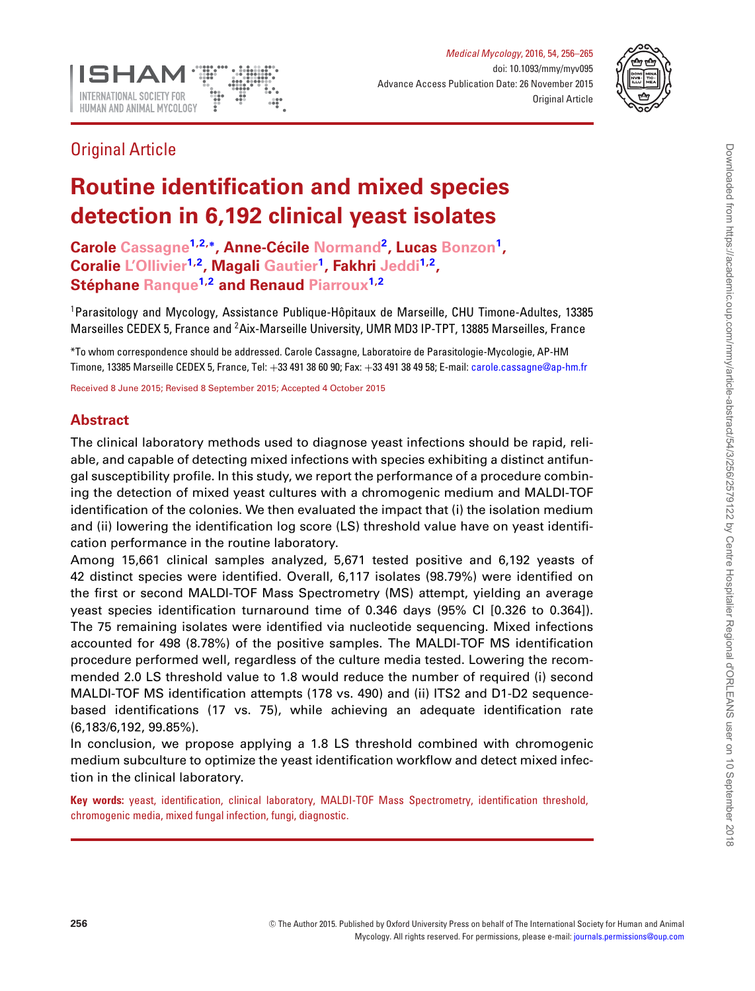

*Medical Mycology*, 2016, 54, 256–265 doi: 10.1093/mmy/myv095 Advance Access Publication Date: 26 November 2015 Original Article



# Original Article

# **Routine identification and mixed species detection in 6,192 clinical yeast isolates**

**Carole Cassagn[e1,](#page-0-0)[2,](#page-0-1)[∗](#page-0-2), Anne-Cecile ´ Normand[2,](#page-0-1) Lucas Bonzon[1,](#page-0-0) Coralie L'Ollivier[1](#page-0-0)[,2,](#page-0-1) Magali Gautier[1,](#page-0-0) Fakhri Jedd[i1,](#page-0-0)[2,](#page-0-1) Stéphane Ranque<sup>[1,](#page-0-0)[2](#page-0-1)</sup> and Renaud Piarroux<sup>1,2</sup>** 

<span id="page-0-0"></span><sup>1</sup>Parasitology and Mycology, Assistance Publique-Hôpitaux de Marseille, CHU Timone-Adultes, 13385 Marseilles CEDEX 5, France and <sup>2</sup> Aix-Marseille University, UMR MD3 IP-TPT, 13885 Marseilles, France

<span id="page-0-2"></span><span id="page-0-1"></span>\*To whom correspondence should be addressed. Carole Cassagne, Laboratoire de Parasitologie-Mycologie, AP-HM Timone, 13385 Marseille CEDEX 5, France, Tel: +33 491 38 60 90; Fax: +33 491 38 49 58; E-mail: [carole.cassagne@ap-hm.fr](mailto:carole.cassagne@ap-hm.fr)

Received 8 June 2015; Revised 8 September 2015; Accepted 4 October 2015

# **Abstract**

The clinical laboratory methods used to diagnose yeast infections should be rapid, reliable, and capable of detecting mixed infections with species exhibiting a distinct antifungal susceptibility profile. In this study, we report the performance of a procedure combining the detection of mixed yeast cultures with a chromogenic medium and MALDI-TOF identification of the colonies. We then evaluated the impact that (i) the isolation medium and (ii) lowering the identification log score (LS) threshold value have on yeast identification performance in the routine laboratory.

Among 15,661 clinical samples analyzed, 5,671 tested positive and 6,192 yeasts of 42 distinct species were identified. Overall, 6,117 isolates (98.79%) were identified on the first or second MALDI-TOF Mass Spectrometry (MS) attempt, yielding an average yeast species identification turnaround time of 0.346 days (95% CI [0.326 to 0.364]). The 75 remaining isolates were identified via nucleotide sequencing. Mixed infections accounted for 498 (8.78%) of the positive samples. The MALDI-TOF MS identification procedure performed well, regardless of the culture media tested. Lowering the recommended 2.0 LS threshold value to 1.8 would reduce the number of required (i) second MALDI-TOF MS identification attempts (178 vs. 490) and (ii) ITS2 and D1-D2 sequencebased identifications (17 vs. 75), while achieving an adequate identification rate (6,183/6,192, 99.85%).

In conclusion, we propose applying a 1.8 LS threshold combined with chromogenic medium subculture to optimize the yeast identification workflow and detect mixed infection in the clinical laboratory.

**Key words:** yeast, identification, clinical laboratory, MALDI-TOF Mass Spectrometry, identification threshold, chromogenic media, mixed fungal infection, fungi, diagnostic.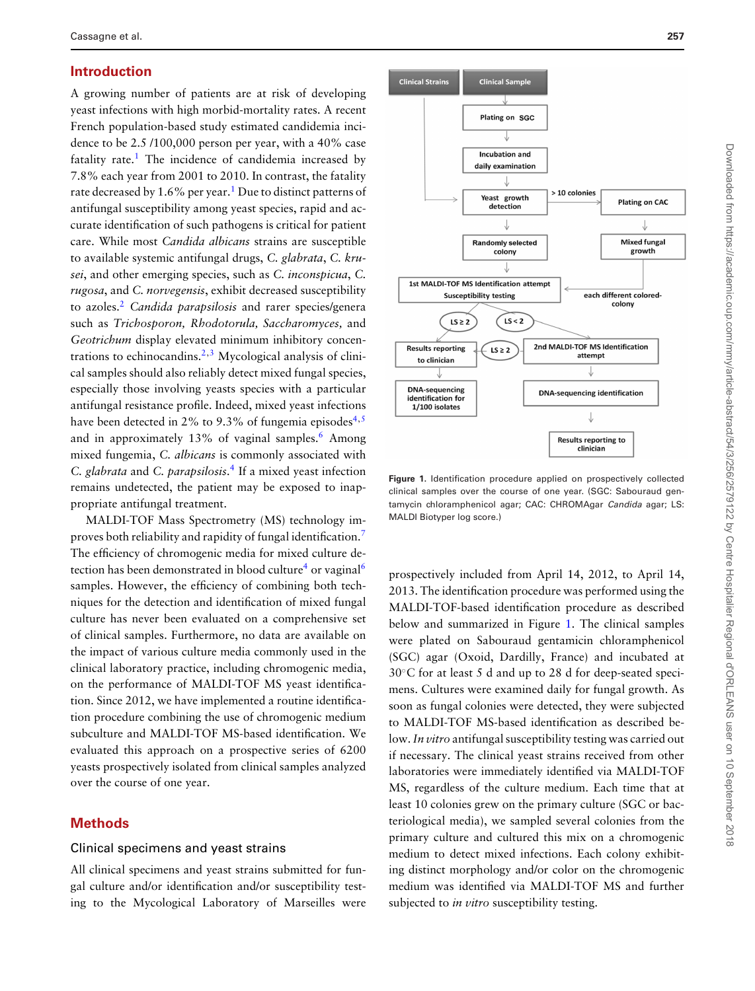### **Introduction**

A growing number of patients are at risk of developing yeast infections with high morbid-mortality rates. A recent French population-based study estimated candidemia incidence to be 2.5 /100,000 person per year, with a 40% case fatality rate.<sup>[1](#page-8-0)</sup> The incidence of candidemia increased by 7.8% each year from 2001 to 2010. In contrast, the fatality rate decreased by  $1.6\%$  per year.<sup>1</sup> Due to distinct patterns of antifungal susceptibility among yeast species, rapid and accurate identification of such pathogens is critical for patient care. While most *Candida albicans* strains are susceptible to available systemic antifungal drugs, *C. glabrata*, *C. krusei*, and other emerging species, such as *C. inconspicua*, *C. rugosa*, and *C. norvegensis*, exhibit decreased susceptibility to azoles.[2](#page-8-1) *Candida parapsilosis* and rarer species/genera such as *Trichosporon, Rhodotorula, Saccharomyces,* and *Geotrichum* display elevated minimum inhibitory concen-trations to echinocandins.<sup>[2,](#page-8-1)[3](#page-8-2)</sup> Mycological analysis of clinical samples should also reliably detect mixed fungal species, especially those involving yeasts species with a particular antifungal resistance profile. Indeed, mixed yeast infections have been detected in 2% to 9.3% of fungemia episodes<sup>[4,](#page-8-3)[5](#page-9-0)</sup> and in approximately 13% of vaginal samples.<sup>[6](#page-9-1)</sup> Among mixed fungemia, *C. albicans* is commonly associated with *C. glabrata* and *C. parapsilosis*. [4](#page-8-3) If a mixed yeast infection remains undetected, the patient may be exposed to inappropriate antifungal treatment.

MALDI-TOF Mass Spectrometry (MS) technology improves both reliability and rapidity of fungal identification[.7](#page-9-2) The efficiency of chromogenic media for mixed culture de-tection has been demonstrated in blood culture<sup>[4](#page-8-3)</sup> or vaginal<sup>[6](#page-9-1)</sup> samples. However, the efficiency of combining both techniques for the detection and identification of mixed fungal culture has never been evaluated on a comprehensive set of clinical samples. Furthermore, no data are available on the impact of various culture media commonly used in the clinical laboratory practice, including chromogenic media, on the performance of MALDI-TOF MS yeast identification. Since 2012, we have implemented a routine identification procedure combining the use of chromogenic medium subculture and MALDI-TOF MS-based identification. We evaluated this approach on a prospective series of 6200 yeasts prospectively isolated from clinical samples analyzed over the course of one year.

#### **Methods**

#### Clinical specimens and yeast strains

All clinical specimens and yeast strains submitted for fungal culture and/or identification and/or susceptibility testing to the Mycological Laboratory of Marseilles were

<span id="page-1-0"></span>

**Figure 1.** Identification procedure applied on prospectively collected clinical samples over the course of one year. (SGC: Sabouraud gentamycin chloramphenicol agar; CAC: CHROMAgar *Candida* agar; LS: MALDI Biotyper log score.)

prospectively included from April 14, 2012, to April 14, 2013. The identification procedure was performed using the MALDI-TOF-based identification procedure as described below and summarized in Figure [1.](#page-1-0) The clinical samples were plated on Sabouraud gentamicin chloramphenicol (SGC) agar (Oxoid, Dardilly, France) and incubated at 30◦C for at least 5 d and up to 28 d for deep-seated specimens. Cultures were examined daily for fungal growth. As soon as fungal colonies were detected, they were subjected to MALDI-TOF MS-based identification as described below.*In vitro* antifungal susceptibility testing was carried out if necessary. The clinical yeast strains received from other laboratories were immediately identified via MALDI-TOF MS, regardless of the culture medium. Each time that at least 10 colonies grew on the primary culture (SGC or bacteriological media), we sampled several colonies from the primary culture and cultured this mix on a chromogenic medium to detect mixed infections. Each colony exhibiting distinct morphology and/or color on the chromogenic medium was identified via MALDI-TOF MS and further subjected to *in vitro* susceptibility testing.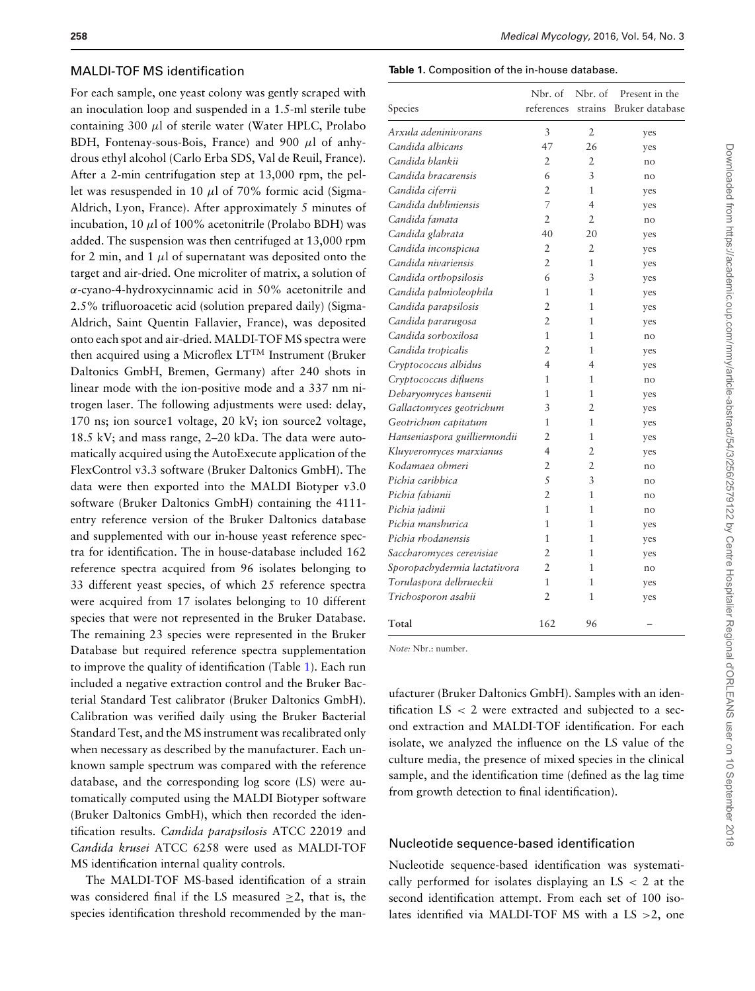#### MALDI-TOF MS identification

For each sample, one yeast colony was gently scraped with an inoculation loop and suspended in a 1.5-ml sterile tube containing 300  $\mu$ l of sterile water (Water HPLC, Prolabo BDH, Fontenay-sous-Bois, France) and 900  $\mu$ l of anhydrous ethyl alcohol (Carlo Erba SDS, Val de Reuil, France). After a 2-min centrifugation step at 13,000 rpm, the pellet was resuspended in 10  $\mu$ l of 70% formic acid (Sigma-Aldrich, Lyon, France). After approximately 5 minutes of incubation,  $10 \mu l$  of  $100\%$  acetonitrile (Prolabo BDH) was added. The suspension was then centrifuged at 13,000 rpm for 2 min, and 1  $\mu$ l of supernatant was deposited onto the target and air-dried. One microliter of matrix, a solution of α-cyano-4-hydroxycinnamic acid in 50% acetonitrile and 2.5% trifluoroacetic acid (solution prepared daily) (Sigma-Aldrich, Saint Quentin Fallavier, France), was deposited onto each spot and air-dried. MALDI-TOF MS spectra were then acquired using a Microflex LT<sup>TM</sup> Instrument (Bruker Daltonics GmbH, Bremen, Germany) after 240 shots in linear mode with the ion-positive mode and a 337 nm nitrogen laser. The following adjustments were used: delay, 170 ns; ion source1 voltage, 20 kV; ion source2 voltage, 18.5 kV; and mass range, 2–20 kDa. The data were automatically acquired using the AutoExecute application of the FlexControl v3.3 software (Bruker Daltonics GmbH). The data were then exported into the MALDI Biotyper v3.0 software (Bruker Daltonics GmbH) containing the 4111 entry reference version of the Bruker Daltonics database and supplemented with our in-house yeast reference spectra for identification. The in house-database included 162 reference spectra acquired from 96 isolates belonging to 33 different yeast species, of which 25 reference spectra were acquired from 17 isolates belonging to 10 different species that were not represented in the Bruker Database. The remaining 23 species were represented in the Bruker Database but required reference spectra supplementation to improve the quality of identification (Table [1\)](#page-2-0). Each run included a negative extraction control and the Bruker Bacterial Standard Test calibrator (Bruker Daltonics GmbH). Calibration was verified daily using the Bruker Bacterial Standard Test, and the MS instrument was recalibrated only when necessary as described by the manufacturer. Each unknown sample spectrum was compared with the reference database, and the corresponding log score (LS) were automatically computed using the MALDI Biotyper software (Bruker Daltonics GmbH), which then recorded the identification results. *Candida parapsilosis* ATCC 22019 and *Candida krusei* ATCC 6258 were used as MALDI-TOF MS identification internal quality controls.

The MALDI-TOF MS-based identification of a strain was considered final if the LS measured  $>2$ , that is, the species identification threshold recommended by the man-

#### <span id="page-2-0"></span>**Table 1.** Composition of the in-house database.

| Species                      | Nbr. of<br>references | Nbr. of<br>strains | Present in the<br>Bruker database |
|------------------------------|-----------------------|--------------------|-----------------------------------|
| Arxula adeninivorans         | 3                     | $\overline{2}$     | yes                               |
| Candida albicans             | 47                    | 26                 | yes                               |
| Candida blankii              | $\overline{2}$        | 2                  | no                                |
| Candida bracarensis          | 6                     | 3                  | no                                |
| Candida ciferrii             | $\overline{2}$        | 1                  | yes                               |
| Candida dubliniensis         | 7                     | 4                  | yes                               |
| Candida famata               | $\overline{2}$        | $\overline{2}$     | no                                |
| Candida glabrata             | 40                    | 20                 | yes                               |
| Candida inconspicua          | $\overline{2}$        | 2                  | yes                               |
| Candida nivariensis          | $\overline{2}$        | 1                  | yes                               |
| Candida orthopsilosis        | 6                     | $\overline{3}$     | yes                               |
| Candida palmioleophila       | 1                     | 1                  | yes                               |
| Candida parapsilosis         | $\overline{2}$        | 1                  | yes                               |
| Candida pararugosa           | $\overline{2}$        | 1                  | yes                               |
| Candida sorboxilosa          | 1                     | 1                  | no                                |
| Candida tropicalis           | $\overline{2}$        | 1                  | yes                               |
| Cryptococcus albidus         | 4                     | 4                  | yes                               |
| Cryptococcus difluens        | 1                     | 1                  | no                                |
| Debaryomyces hansenii        | 1                     | 1                  | yes                               |
| Gallactomyces geotrichum     | 3                     | $\overline{2}$     | yes                               |
| Geotrichum capitatum         | 1                     | 1                  | yes                               |
| Hanseniaspora guilliermondii | $\overline{2}$        | 1                  | yes                               |
| Kluyveromyces marxianus      | $\overline{4}$        | 2                  | yes                               |
| Kodamaea ohmeri              | $\overline{2}$        | $\overline{2}$     | no                                |
| Pichia caribbica             | 5                     | 3                  | no                                |
| Pichia fabianii              | $\overline{2}$        | 1                  | no                                |
| Pichia jadinii               | 1                     | 1                  | no                                |
| Pichia manshurica            | 1                     | 1                  | yes                               |
| Pichia rhodanensis           | 1                     | 1                  | yes                               |
| Saccharomyces cerevisiae     | $\overline{2}$        | 1                  | yes                               |
| Sporopachydermia lactativora | 2                     | 1                  | no                                |
| Torulaspora delbrueckii      | 1                     | 1                  | yes                               |
| Trichosporon asahii          | $\overline{2}$        | 1                  | yes                               |
| Total                        | 162                   | 96                 |                                   |

*Note:* Nbr.: number.

ufacturer (Bruker Daltonics GmbH). Samples with an identification LS < 2 were extracted and subjected to a second extraction and MALDI-TOF identification. For each isolate, we analyzed the influence on the LS value of the culture media, the presence of mixed species in the clinical sample, and the identification time (defined as the lag time from growth detection to final identification).

#### Nucleotide sequence-based identification

Nucleotide sequence-based identification was systematically performed for isolates displaying an  $LS < 2$  at the second identification attempt. From each set of 100 isolates identified via MALDI-TOF MS with a LS >2, one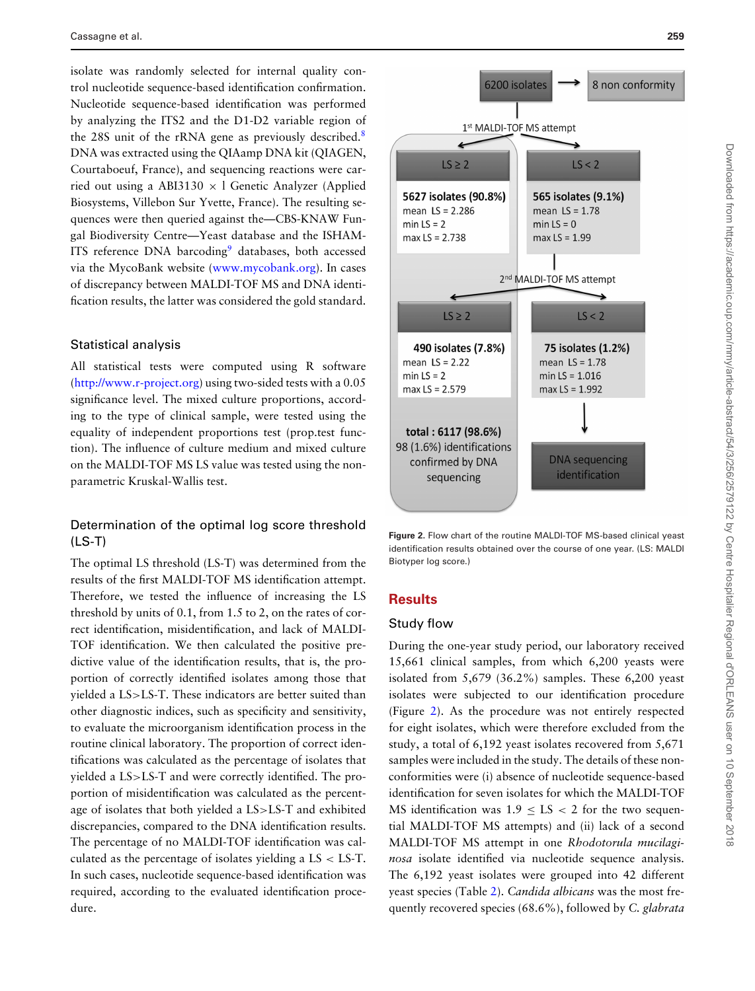isolate was randomly selected for internal quality control nucleotide sequence-based identification confirmation. Nucleotide sequence-based identification was performed by analyzing the ITS2 and the D1-D2 variable region of the 2[8](#page-9-3)S unit of the rRNA gene as previously described.<sup>8</sup> DNA was extracted using the QIAamp DNA kit (QIAGEN, Courtaboeuf, France), and sequencing reactions were carried out using a ABI3130  $\times$  l Genetic Analyzer (Applied Biosystems, Villebon Sur Yvette, France). The resulting sequences were then queried against the—CBS-KNAW Fungal Biodiversity Centre—Yeast database and the ISHAM-ITS reference DNA barcoding<sup>9</sup> databases, both accessed via the MycoBank website [\(www.mycobank.org\)](http://www.mycobank.org). In cases of discrepancy between MALDI-TOF MS and DNA identification results, the latter was considered the gold standard.

#### Statistical analysis

All statistical tests were computed using R software [\(http://www.r-project.org\)](http://www.r-project.org) using two-sided tests with a 0.05 significance level. The mixed culture proportions, according to the type of clinical sample, were tested using the equality of independent proportions test (prop.test function). The influence of culture medium and mixed culture on the MALDI-TOF MS LS value was tested using the nonparametric Kruskal-Wallis test.

# Determination of the optimal log score threshold (LS-T)

The optimal LS threshold (LS-T) was determined from the results of the first MALDI-TOF MS identification attempt. Therefore, we tested the influence of increasing the LS threshold by units of 0.1, from 1.5 to 2, on the rates of correct identification, misidentification, and lack of MALDI-TOF identification. We then calculated the positive predictive value of the identification results, that is, the proportion of correctly identified isolates among those that yielded a LS>LS-T. These indicators are better suited than other diagnostic indices, such as specificity and sensitivity, to evaluate the microorganism identification process in the routine clinical laboratory. The proportion of correct identifications was calculated as the percentage of isolates that yielded a LS>LS-T and were correctly identified. The proportion of misidentification was calculated as the percentage of isolates that both yielded a LS>LS-T and exhibited discrepancies, compared to the DNA identification results. The percentage of no MALDI-TOF identification was calculated as the percentage of isolates yielding a  $LS < LS-T$ . In such cases, nucleotide sequence-based identification was required, according to the evaluated identification procedure.

<span id="page-3-0"></span>

**Figure 2.** Flow chart of the routine MALDI-TOF MS-based clinical yeast identification results obtained over the course of one year. (LS: MALDI Biotyper log score.)

# **Results**

## Study flow

During the one-year study period, our laboratory received 15,661 clinical samples, from which 6,200 yeasts were isolated from 5,679 (36.2%) samples. These 6,200 yeast isolates were subjected to our identification procedure (Figure [2\)](#page-3-0). As the procedure was not entirely respected for eight isolates, which were therefore excluded from the study, a total of 6,192 yeast isolates recovered from 5,671 samples were included in the study. The details of these nonconformities were (i) absence of nucleotide sequence-based identification for seven isolates for which the MALDI-TOF MS identification was  $1.9 \leq LS < 2$  for the two sequential MALDI-TOF MS attempts) and (ii) lack of a second MALDI-TOF MS attempt in one *Rhodotorula mucilaginosa* isolate identified via nucleotide sequence analysis. The 6,192 yeast isolates were grouped into 42 different yeast species (Table [2\)](#page-4-0)[.](#page-5-0) *Candida albicans* was the most frequently recovered species (68.6%), followed by *C. glabrata*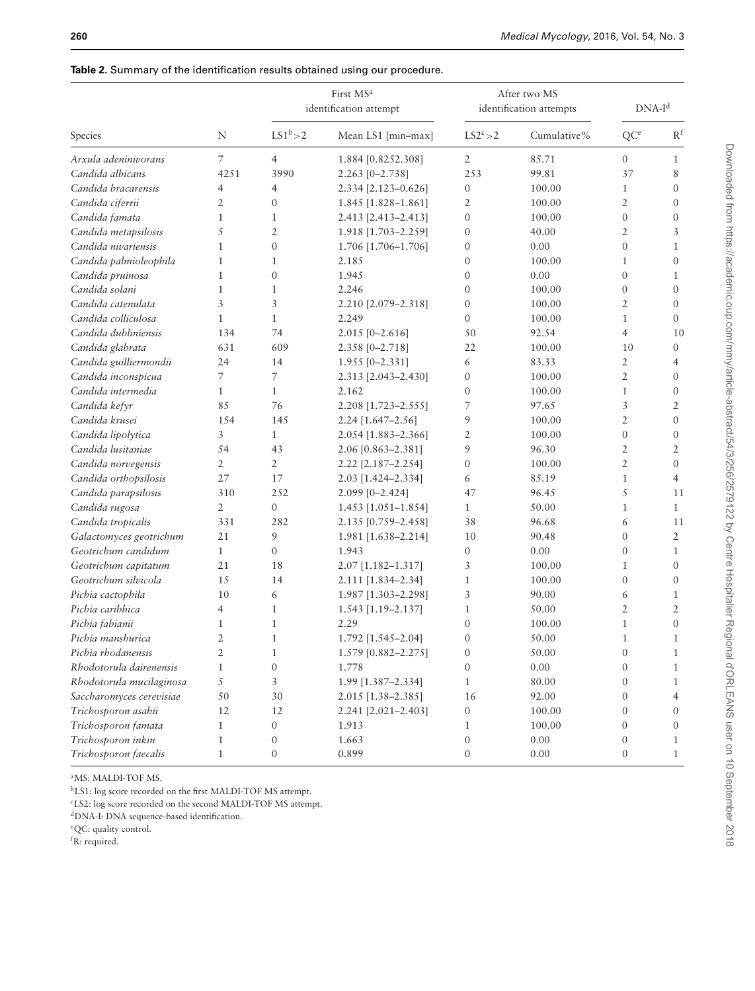# First MS<sup>a</sup> After two MS identification attempt identification attempts DNA-I<sup>d</sup> Species N LS1<sup>b</sup>>2 Mean LS1 [min–max] LS2<sup>c</sup>>2 Cumulative% OC<sup>e</sup> R<sup>f</sup> *Arxula adeninivorans* 7 4 1.884 [0.8252.308] 2 85.71 0 1 *Candida albicans* 4251 3990 2.263 [0–2.738] 253 99.81 37 8 *Candida bracarensis* 4 4 2.334 [2.123–0.626] 0 100.00 1 0 *Candida ciferrii* 2 0 1.845 [1.828–1.861] 2 100.00 2 0 *Candida famata* 1 1 2.413 [2.413–2.413] 0 100.00 0 0 *Candida metapsilosis* 5 2 1.918 [1.703–2.259] 0 40.00 2 3 *Candida nivariensis* 1 0 1.706 [1.706–1.706] 0 0.00 0 1 *Candida palmioleophila* 1 1 2.185 0 100.00 1 0 *Candida pruinosa* 1 0 1.945 0 0.00 0 1 *Candida solani* 1 1 2.246 0 100.00 0 0 *Candida catenulata* 3 3 2.210 [2.079–2.318] 0 100.00 2 0 *Candida colliculosa* 1 1 2.249 0 100.00 1 0 *Candida dubliniensis* 134 74 2.015 [0–2.616] 50 92.54 4 10 *Candida glabrata* 631 609 2.358 [0–2.718] 22 100.00 10 0 *Candida guilliermondii* 24 14 1.955 [0–2.331] 6 83.33 2 4 *Candida inconspicua* 7 7 2.313 [2.043–2.430] 0 100.00 2 0 *Candida intermedia* 1 1 2.162 0 100.00 1 0 *Candida kefyr* 85 76 2.208 [1.723–2.555] 7 97.65 3 2 *Candida krusei* 154 145 2.24 [1.647–2.56] 9 100.00 2 0 *Candida lipolytica* 3 1 2.054 [1.883–2.366] 2 100.00 0 0 *Candida lusitaniae* 54 43 2.06 [0.863–2.381] 9 96.30 2 2 *Candida norvegensis* 2 2 2.22 [2.187–2.254] 0 100.00 2 0 *Candida orthopsilosis* 27 17 2.03 [1.424–2.334] 6 85.19 1 4 *Candida parapsilosis* 310 252 2.099 [0–2.424] 47 96.45 5 11 *Candida rugosa* 2 0 1.453 [1.051–1.854] 1 50.00 1 1 *Candida tropicalis* 331 282 2.135 [0.759–2.458] 38 96.68 6 11 *Galactomyces geotrichum* 21 9 1.981 [1.638–2.214] 10 90.48 0 2 *Geotrichum candidum* 1 0 1.943 0 0.00 0 1 *Geotrichum capitatum* 21 18 2.07 [1.182–1.317] 3 100.00 1 0 *Geotrichum silvicola* 15 14 2.111 [1.834–2.34] 1 100.00 0 0 *Pichia cactophila* 10 6 1.987 [1.303–2.298] 3 90.00 6 1 *Pichia caribbica* 4 1 1.543 [1.19–2.137] 1 50.00 2 2 *Pichia fabianii* 1 1 2.29 0 100.00 1 0 *Pichia manshurica* 2 1 1.792 [1.545–2.04] 0 50.00 1 1 *Pichia rhodanensis* 2 1 1.579 [0.882–2.275] 0 50.00 0 1 *Rhodotorula dairenensis* 1 0 1.778 0 0.00 0 1 *Rhodotorula mucilaginosa* 5 3 1.99 [1.387–2.334] 1 80.00 0 1 *Saccharomyces cerevisiae* 50 30 2.015 [1.38–2.385] 16 92.00 0 4 *Trichosporon asahii* 12 12 2.241 [2.021–2.403] 0 100.00 0 0 *Trichosporon famata* 1 0 1.913 1 100.00 0 0 *Trichosporon inkin* 1 0 1.663 0 0.00 0 1 *Trichosporon faecalis* 1 0 0.899 0 0.00 0.00 1

<span id="page-4-0"></span>

| <b>Table 2.</b> Summary of the identification results obtained using our procedure. |  |  |  |
|-------------------------------------------------------------------------------------|--|--|--|
|-------------------------------------------------------------------------------------|--|--|--|

aMS: MALDI-TOF MS.

bLS1: log score recorded on the first MALDI-TOF MS attempt.

cLS2: log score recorded on the second MALDI-TOF MS attempt.

dDNA-I: DNA sequence-based identification.

eQC: quality control.

f R: required.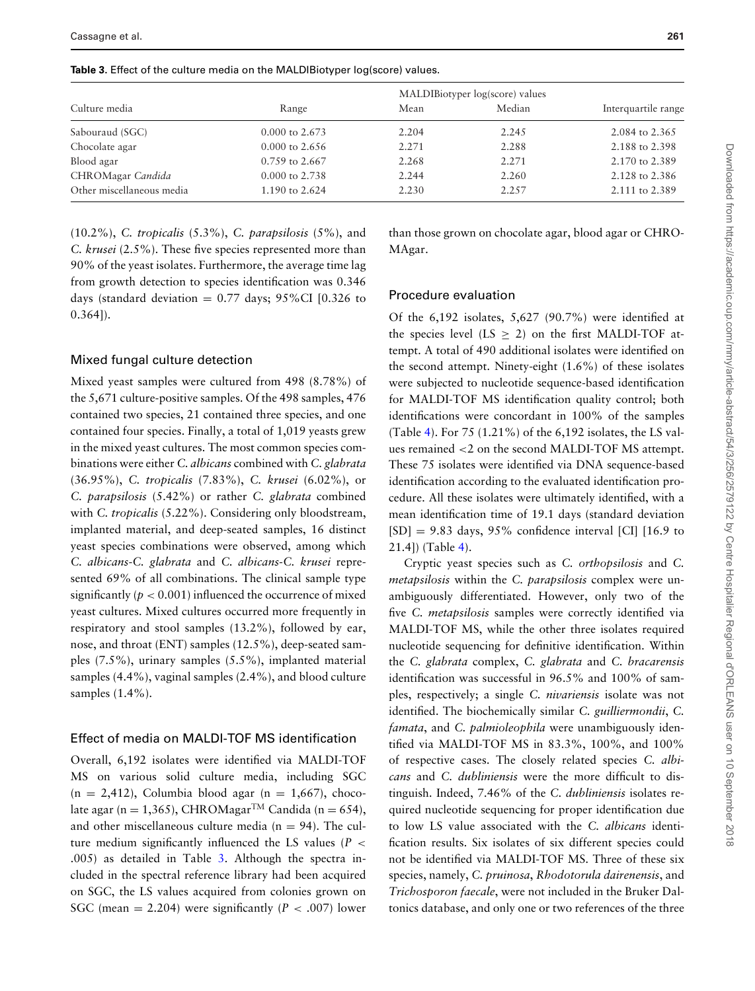<span id="page-5-0"></span>

|  |  |  |  |  | <b>Table 3.</b> Effect of the culture media on the MALDIBiotyper log(score) values. |  |  |
|--|--|--|--|--|-------------------------------------------------------------------------------------|--|--|
|--|--|--|--|--|-------------------------------------------------------------------------------------|--|--|

|                           |                           | MALDIBiotyper log(score) values |        |                     |
|---------------------------|---------------------------|---------------------------------|--------|---------------------|
| Culture media             | Range                     | Mean                            | Median | Interquartile range |
| Sabouraud (SGC)           | $0.000 \text{ to } 2.673$ | 2.204                           | 2.245  | 2.084 to 2.365      |
| Chocolate agar            | $0.000$ to 2.656          | 2.271                           | 2.288  | 2.188 to 2.398      |
| Blood agar                | 0.759 to 2.667            | 2.268                           | 2.271  | 2.170 to 2.389      |
| CHROMagar Candida         | $0.000$ to 2.738          | 2.244                           | 2.260  | 2.128 to 2.386      |
| Other miscellaneous media | 1.190 to 2.624            | 2.230                           | 2.257  | 2.111 to 2.389      |

(10.2%), *C. tropicalis* (5.3%), *C. parapsilosis* (5%), and *C. krusei* (2.5%). These five species represented more than 90% of the yeast isolates. Furthermore, the average time lag from growth detection to species identification was 0.346 days (standard deviation =  $0.77$  days;  $95\%$ CI [0.326 to  $(0.364)$ .

#### Mixed fungal culture detection

Mixed yeast samples were cultured from 498 (8.78%) of the 5,671 culture-positive samples. Of the 498 samples, 476 contained two species, 21 contained three species, and one contained four species. Finally, a total of 1,019 yeasts grew in the mixed yeast cultures. The most common species combinations were either *C. albicans* combined with *C. glabrata* (36.95%), *C. tropicalis* (7.83%), *C. krusei* (6.02%), or *C. parapsilosis* (5.42%) or rather *C. glabrata* combined with *C. tropicalis* (5.22%). Considering only bloodstream, implanted material, and deep-seated samples, 16 distinct yeast species combinations were observed, among which *C. albicans*-*C. glabrata* and *C. albicans*-*C. krusei* represented 69% of all combinations. The clinical sample type significantly ( $p < 0.001$ ) influenced the occurrence of mixed yeast cultures. Mixed cultures occurred more frequently in respiratory and stool samples (13.2%), followed by ear, nose, and throat (ENT) samples (12.5%), deep-seated samples (7.5%), urinary samples (5.5%), implanted material samples (4.4%), vaginal samples (2.4%), and blood culture samples (1.4%).

#### Effect of media on MALDI-TOF MS identification

Overall, 6,192 isolates were identified via MALDI-TOF MS on various solid culture media, including SGC  $(n = 2,412)$ , Columbia blood agar  $(n = 1,667)$ , chocolate agar (n = 1,365), CHROMagar<sup>TM</sup> Candida (n = 654), and other miscellaneous culture media ( $n = 94$ ). The culture medium significantly influenced the LS values  $(P \leq$ .005) as detailed in Table [3.](#page-5-0) Although the spectra included in the spectral reference library had been acquired on SGC, the LS values acquired from colonies grown on SGC (mean  $= 2.204$ ) were significantly (*P* < .007) lower

than those grown on chocolate agar, blood agar or CHRO-MAgar.

#### Procedure evaluation

Of the 6,192 isolates, 5,627 (90.7%) were identified at the species level (LS  $\geq$  2) on the first MALDI-TOF attempt. A total of 490 additional isolates were identified on the second attempt. Ninety-eight (1.6%) of these isolates were subjected to nucleotide sequence-based identification for MALDI-TOF MS identification quality control; both identifications were concordant in 100% of the samples (Table [4\)](#page-6-0). For 75 (1.21%) of the 6,192 isolates, the LS values remained <2 on the second MALDI-TOF MS attempt. These 75 isolates were identified via DNA sequence-based identification according to the evaluated identification procedure. All these isolates were ultimately identified, with a mean identification time of 19.1 days (standard deviation  $[SD] = 9.83$  days, 95% confidence interval [CI] [16.9 to 21.4]) (Table [4\)](#page-6-0).

Cryptic yeast species such as *C. orthopsilosis* and *C. metapsilosis* within the *C. parapsilosis* complex were unambiguously differentiated. However, only two of the five *C. metapsilosis* samples were correctly identified via MALDI-TOF MS, while the other three isolates required nucleotide sequencing for definitive identification. Within the *C. glabrata* complex, *C. glabrata* and *C. bracarensis* identification was successful in 96.5% and 100% of samples, respectively; a single *C. nivariensis* isolate was not identified. The biochemically similar *C. guilliermondii*, *C. famata*, and *C. palmioleophila* were unambiguously identified via MALDI-TOF MS in 83.3%, 100%, and 100% of respective cases. The closely related species *C. albicans* and *C. dubliniensis* were the more difficult to distinguish. Indeed, 7.46% of the *C. dubliniensis* isolates required nucleotide sequencing for proper identification due to low LS value associated with the *C. albicans* identification results. Six isolates of six different species could not be identified via MALDI-TOF MS. Three of these six species, namely, *C. pruinosa*, *Rhodotorula dairenensis*, and *Trichosporon faecale*, were not included in the Bruker Daltonics database, and only one or two references of the three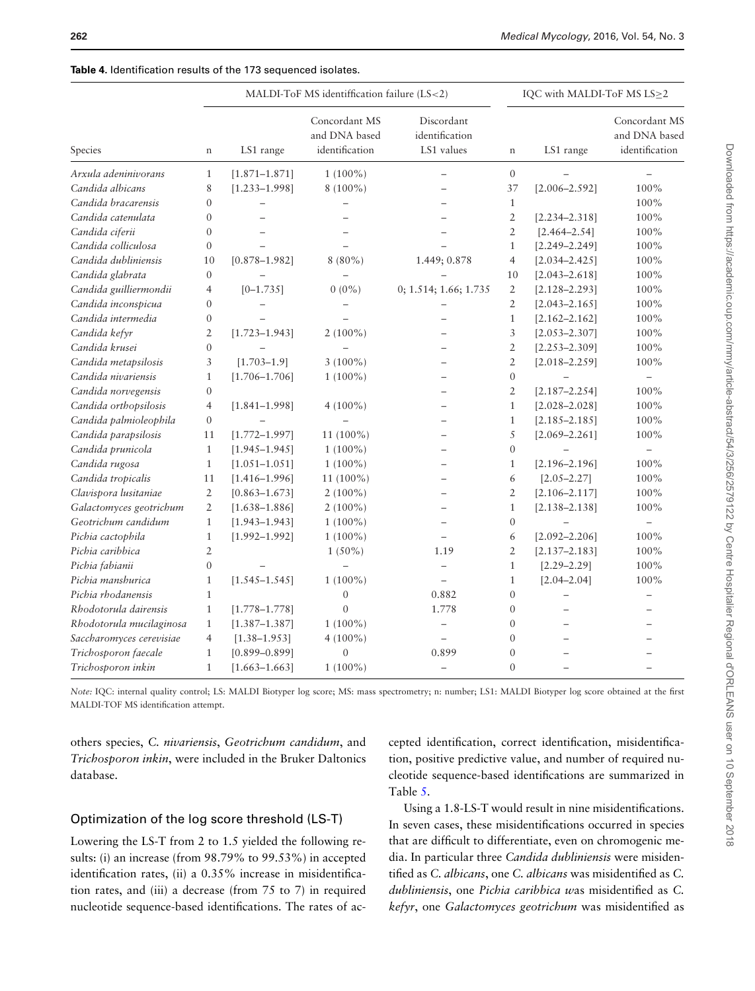|                          | MALDI-ToF MS identiffication failure (LS<2) |                   |                                                  |                                            | IQC with MALDI-ToF MS LS>2 |                          |                                                  |
|--------------------------|---------------------------------------------|-------------------|--------------------------------------------------|--------------------------------------------|----------------------------|--------------------------|--------------------------------------------------|
| Species                  | $\mathbf n$                                 | LS1 range         | Concordant MS<br>and DNA based<br>identification | Discordant<br>identification<br>LS1 values | $\mathbf n$                | LS1 range                | Concordant MS<br>and DNA based<br>identification |
| Arxula adeninivorans     | $\mathbf{1}$                                | $[1.871 - 1.871]$ | $1(100\%)$                                       |                                            | $\boldsymbol{0}$           |                          |                                                  |
| Candida albicans         | 8                                           | $[1.233 - 1.998]$ | 8 (100%)                                         |                                            | 37                         | $[2.006 - 2.592]$        | 100%                                             |
| Candida bracarensis      | $\overline{0}$                              |                   |                                                  |                                            | $1\,$                      |                          | 100%                                             |
| Candida catenulata       | $\theta$                                    |                   |                                                  |                                            | $\overline{2}$             | $[2.234 - 2.318]$        | $100\%$                                          |
| Candida ciferii          | $\overline{0}$                              |                   |                                                  |                                            | $\overline{2}$             | $[2.464 - 2.54]$         | 100%                                             |
| Candida colliculosa      | $\overline{0}$                              |                   |                                                  |                                            | $\mathbf{1}$               | $[2.249 - 2.249]$        | 100%                                             |
| Candida dubliniensis     | 10                                          | $[0.878 - 1.982]$ | $8(80\%)$                                        | 1.449; 0.878                               | $\overline{4}$             | $[2.034 - 2.425]$        | $100\%$                                          |
| Candida glabrata         | $\boldsymbol{0}$                            |                   |                                                  |                                            | 10                         | $[2.043 - 2.618]$        | 100%                                             |
| Candida guilliermondii   | $\overline{4}$                              | $[0-1.735]$       | $0(0\%)$                                         | 0; 1.514; 1.66; 1.735                      | $\overline{2}$             | $[2.128 - 2.293]$        | 100%                                             |
| Candida inconspicua      | $\overline{0}$                              |                   |                                                  |                                            | $\overline{2}$             | $[2.043 - 2.165]$        | 100%                                             |
| Candida intermedia       | $\boldsymbol{0}$                            |                   |                                                  |                                            | $\mathbf{1}$               | $[2.162 - 2.162]$        | 100%                                             |
| Candida kefyr            | $\overline{2}$                              | $[1.723 - 1.943]$ | $2(100\%)$                                       |                                            | 3                          | $[2.053 - 2.307]$        | $100\%$                                          |
| Candida krusei           | $\overline{0}$                              |                   |                                                  |                                            | $\overline{2}$             | $[2.253 - 2.309]$        | 100%                                             |
| Candida metapsilosis     | 3                                           | $[1.703 - 1.9]$   | $3(100\%)$                                       |                                            | $\overline{2}$             | $[2.018 - 2.259]$        | 100%                                             |
| Candida nivariensis      | $\mathbf{1}$                                | $[1.706 - 1.706]$ | $1(100\%)$                                       | $\equiv$                                   | $\boldsymbol{0}$           | $\qquad \qquad -$        | $\overline{\phantom{0}}$                         |
| Candida norvegensis      | $\mathbf{0}$                                |                   |                                                  |                                            | $\overline{2}$             | $[2.187 - 2.254]$        | 100%                                             |
| Candida orthopsilosis    | $\overline{4}$                              | $[1.841 - 1.998]$ | $4(100\%)$                                       |                                            | $\mathbf{1}$               | $[2.028 - 2.028]$        | 100%                                             |
| Candida palmioleophila   | $\boldsymbol{0}$                            | $\equiv$          | $\equiv$                                         | $\equiv$                                   | $\mathbf{1}$               | $[2.185 - 2.185]$        | $100\%$                                          |
| Candida parapsilosis     | 11                                          | $[1.772 - 1.997]$ | 11 (100%)                                        |                                            | 5                          | $[2.069 - 2.261]$        | 100%                                             |
| Candida prunicola        | $\mathbf{1}$                                | $[1.945 - 1.945]$ | $1(100\%)$                                       |                                            | $\boldsymbol{0}$           |                          | $\qquad \qquad -$                                |
| Candida rugosa           | $\mathbf{1}$                                | $[1.051 - 1.051]$ | $1(100\%)$                                       | $\overline{\phantom{0}}$                   | $\mathbf{1}$               | $[2.196 - 2.196]$        | 100%                                             |
| Candida tropicalis       | 11                                          | $[1.416 - 1.996]$ | 11 (100%)                                        |                                            | 6                          | $[2.05 - 2.27]$          | 100%                                             |
| Clavispora lusitaniae    | $\overline{2}$                              | $[0.863 - 1.673]$ | $2(100\%)$                                       |                                            | $\overline{2}$             | $[2.106 - 2.117]$        | $100\%$                                          |
| Galactomyces geotrichum  | $\overline{2}$                              | $[1.638 - 1.886]$ | $2(100\%)$                                       |                                            | $\mathbf{1}$               | $[2.138 - 2.138]$        | $100\%$                                          |
| Geotrichum candidum      | $\mathbf{1}$                                | $[1.943 - 1.943]$ | $1(100\%)$                                       |                                            | $\boldsymbol{0}$           | $\equiv$                 | $\overline{\phantom{0}}$                         |
| Pichia cactophila        | $\mathbf{1}$                                | $[1.992 - 1.992]$ | $1(100\%)$                                       | $\overline{\phantom{0}}$                   | 6                          | $[2.092 - 2.206]$        | 100%                                             |
| Pichia caribbica         | $\overline{2}$                              |                   | $1(50\%)$                                        | 1.19                                       | $\overline{2}$             | $[2.137 - 2.183]$        | 100%                                             |
| Pichia fabianii          | $\mathbf{0}$                                |                   |                                                  | $\overline{a}$                             | $\mathbf{1}$               | $[2.29 - 2.29]$          | $100\%$                                          |
| Pichia manshurica        | $\mathbf{1}$                                | $[1.545 - 1.545]$ | $1(100\%)$                                       | $\overline{\phantom{0}}$                   | $\mathbf{1}$               | $[2.04 - 2.04]$          | 100%                                             |
| Pichia rhodanensis       | $\mathbf{1}$                                |                   | $\boldsymbol{0}$                                 | 0.882                                      | $\mathbf{0}$               | $\overline{\phantom{0}}$ |                                                  |
| Rhodotorula dairensis    | $\mathbf{1}$                                | $[1.778 - 1.778]$ | $\overline{0}$                                   | 1.778                                      | $\boldsymbol{0}$           |                          |                                                  |
| Rhodotorula mucilaginosa | $\mathbf{1}$                                | $[1.387 - 1.387]$ | $1(100\%)$                                       | $\qquad \qquad -$                          | $\theta$                   |                          |                                                  |
| Saccharomyces cerevisiae | $\overline{4}$                              | $[1.38 - 1.953]$  | $4(100\%)$                                       | $\overline{\phantom{0}}$                   | $\mathbf{0}$               |                          |                                                  |
| Trichosporon faecale     | $\mathbf{1}$                                | $[0.899 - 0.899]$ | $\overline{0}$                                   | 0.899                                      | $\mathbf{0}$               |                          |                                                  |
| Trichosporon inkin       | $\mathbf{1}$                                | $[1.663 - 1.663]$ | $1(100\%)$                                       | $\equiv$                                   | $\mathbf{0}$               |                          |                                                  |

<span id="page-6-0"></span>**Table 4.** Identification results of the 173 sequenced isolates.

*Note:* IQC: internal quality control; LS: MALDI Biotyper log score; MS: mass spectrometry; n: number; LS1: MALDI Biotyper log score obtained at the first MALDI-TOF MS identification attempt.

others species, *C. nivariensis*, *Geotrichum candidum*, and *Trichosporon inkin*, were included in the Bruker Daltonics database.

cepted identification, correct identification, misidentification, positive predictive value, and number of required nucleotide sequence-based identifications are summarized in Table [5.](#page-7-0)

## Optimization of the log score threshold (LS-T)

Lowering the LS-T from 2 to 1.5 yielded the following results: (i) an increase (from 98.79% to 99.53%) in accepted identification rates, (ii) a 0.35% increase in misidentification rates, and (iii) a decrease (from 75 to 7) in required nucleotide sequence-based identifications. The rates of ac-

Using a 1.8-LS-T would result in nine misidentifications. In seven cases, these misidentifications occurred in species that are difficult to differentiate, even on chromogenic media. In particular three *Candida dubliniensis* were misidentified as *C. albicans*, one *C. albicans* was misidentified as *C. dubliniensis*, one *Pichia caribbica w*as misidentified as *C. kefyr*, one *Galactomyces geotrichum* was misidentified as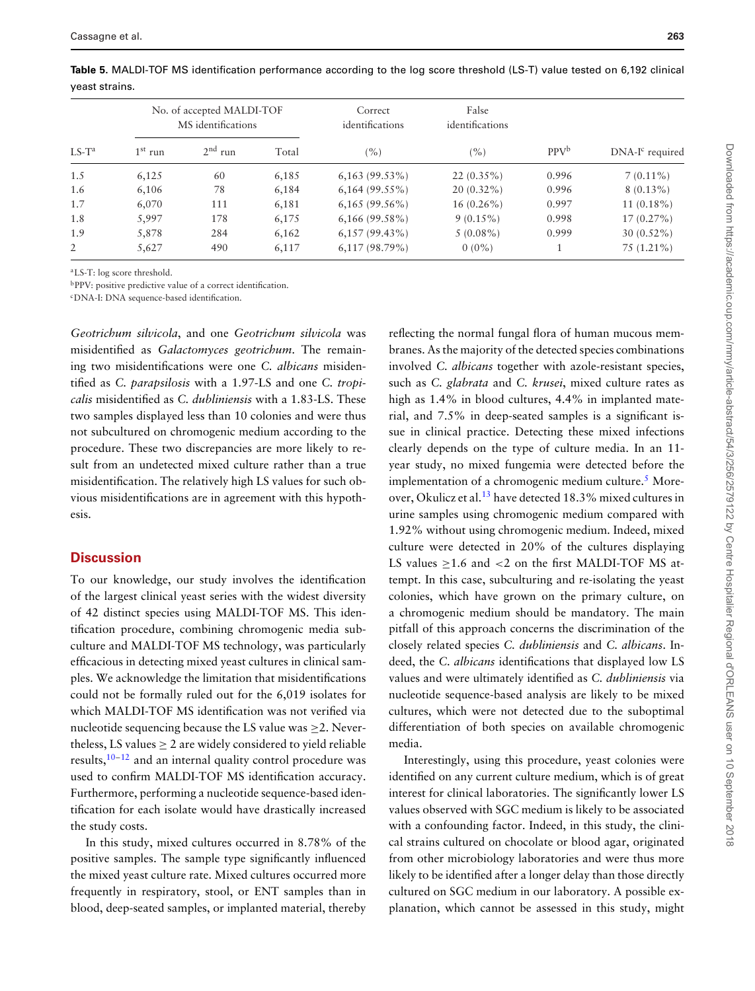|          |           | No. of accepted MALDI-TOF<br>MS identifications |       | Correct<br>identifications | False<br>identifications |         |                   |
|----------|-----------|-------------------------------------------------|-------|----------------------------|--------------------------|---------|-------------------|
| $LS-T^a$ | $1st$ run | $2nd$ run                                       | Total | (%)                        | (%)                      | $PPV^b$ | $DNA-Ic required$ |
| 1.5      | 6,125     | 60                                              | 6,185 | $6,163(99.53\%)$           | $22(0.35\%)$             | 0.996   | $7(0.11\%)$       |
| 1.6      | 6,106     | 78                                              | 6,184 | $6,164(99.55\%)$           | $20(0.32\%)$             | 0.996   | $8(0.13\%)$       |
| 1.7      | 6,070     | 111                                             | 6,181 | $6,165(99.56\%)$           | $16(0.26\%)$             | 0.997   | $11(0.18\%)$      |
| 1.8      | 5.997     | 178                                             | 6,175 | $6,166$ (99.58%)           | $9(0.15\%)$              | 0.998   | $17(0.27\%)$      |
| 1.9      | 5,878     | 284                                             | 6,162 | $6,157(99,43\%)$           | $5(0.08\%)$              | 0.999   | $30(0.52\%)$      |
| 2        | 5,627     | 490                                             | 6,117 | $6,117(98.79\%)$           | $0(0\%)$                 |         | $75(1.21\%)$      |

<span id="page-7-0"></span>**Table 5.** MALDI-TOF MS identification performance according to the log score threshold (LS-T) value tested on 6,192 clinical yeast strains.

aLS-T: log score threshold.

bPPV: positive predictive value of a correct identification.

cDNA-I: DNA sequence-based identification.

*Geotrichum silvicola*, and one *Geotrichum silvicola* was misidentified as *Galactomyces geotrichum*. The remaining two misidentifications were one *C. albicans* misidentified as *C. parapsilosis* with a 1.97-LS and one *C. tropicalis* misidentified as *C. dubliniensis* with a 1.83-LS. These two samples displayed less than 10 colonies and were thus not subcultured on chromogenic medium according to the procedure. These two discrepancies are more likely to result from an undetected mixed culture rather than a true misidentification. The relatively high LS values for such obvious misidentifications are in agreement with this hypothesis.

# **Discussion**

To our knowledge, our study involves the identification of the largest clinical yeast series with the widest diversity of 42 distinct species using MALDI-TOF MS. This identification procedure, combining chromogenic media subculture and MALDI-TOF MS technology, was particularly efficacious in detecting mixed yeast cultures in clinical samples. We acknowledge the limitation that misidentifications could not be formally ruled out for the 6,019 isolates for which MALDI-TOF MS identification was not verified via nucleotide sequencing because the LS value was  $\geq$ 2. Nevertheless, LS values  $> 2$  are widely considered to yield reliable results, $10-12$  $10-12$  and an internal quality control procedure was used to confirm MALDI-TOF MS identification accuracy. Furthermore, performing a nucleotide sequence-based identification for each isolate would have drastically increased the study costs.

In this study, mixed cultures occurred in 8.78% of the positive samples. The sample type significantly influenced the mixed yeast culture rate. Mixed cultures occurred more frequently in respiratory, stool, or ENT samples than in blood, deep-seated samples, or implanted material, thereby

reflecting the normal fungal flora of human mucous membranes. As the majority of the detected species combinations involved *C. albicans* together with azole-resistant species, such as *C. glabrata* and *C. krusei*, mixed culture rates as high as  $1.4\%$  in blood cultures,  $4.4\%$  in implanted material, and 7.5% in deep-seated samples is a significant issue in clinical practice. Detecting these mixed infections clearly depends on the type of culture media. In an 11 year study, no mixed fungemia were detected before the implementation of a chromogenic medium culture. $<sup>5</sup>$  $<sup>5</sup>$  $<sup>5</sup>$  More-</sup> over, Okulicz et al[.13](#page-9-7) have detected 18.3% mixed cultures in urine samples using chromogenic medium compared with 1.92% without using chromogenic medium. Indeed, mixed culture were detected in 20% of the cultures displaying LS values > 1.6 and < 2 on the first MALDI-TOF MS attempt. In this case, subculturing and re-isolating the yeast colonies, which have grown on the primary culture, on a chromogenic medium should be mandatory. The main pitfall of this approach concerns the discrimination of the closely related species *C. dubliniensis* and *C. albicans*. Indeed, the *C. albicans* identifications that displayed low LS values and were ultimately identified as *C. dubliniensis* via nucleotide sequence-based analysis are likely to be mixed cultures, which were not detected due to the suboptimal differentiation of both species on available chromogenic media.

Interestingly, using this procedure, yeast colonies were identified on any current culture medium, which is of great interest for clinical laboratories. The significantly lower LS values observed with SGC medium is likely to be associated with a confounding factor. Indeed, in this study, the clinical strains cultured on chocolate or blood agar, originated from other microbiology laboratories and were thus more likely to be identified after a longer delay than those directly cultured on SGC medium in our laboratory. A possible explanation, which cannot be assessed in this study, might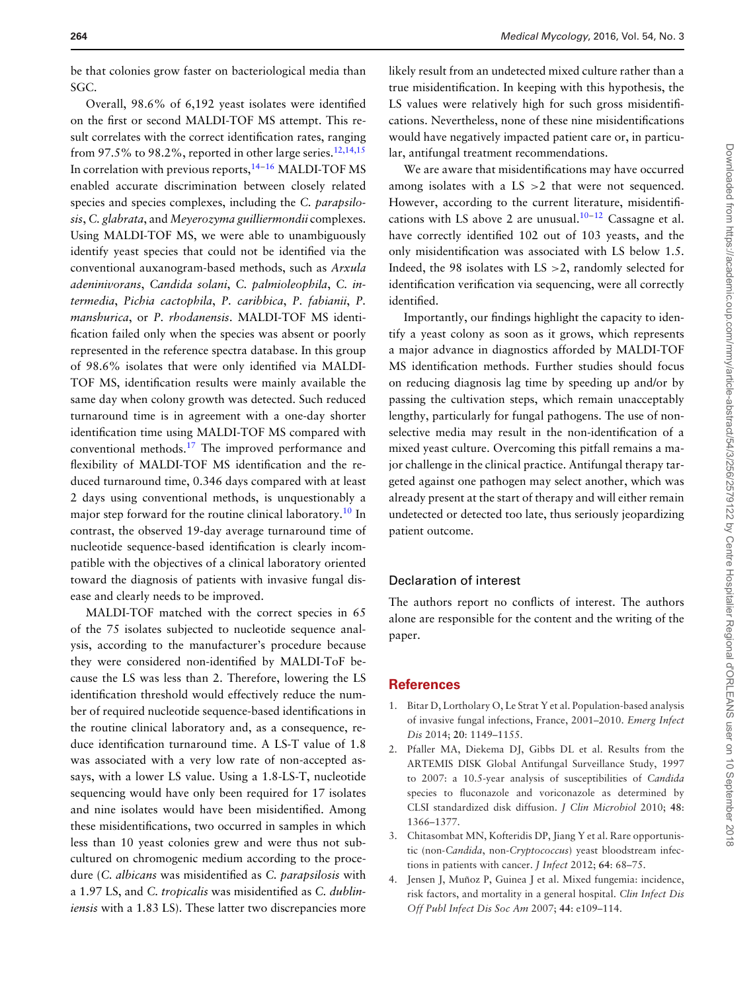be that colonies grow faster on bacteriological media than SGC.

Overall, 98.6% of 6,192 yeast isolates were identified on the first or second MALDI-TOF MS attempt. This result correlates with the correct identification rates, ranging from 97.5% to 98.2%, reported in other large series.<sup>12,14,15</sup> In correlation with previous reports,<sup>14-[16](#page-9-9)</sup> MALDI-TOF MS enabled accurate discrimination between closely related species and species complexes, including the *C. parapsilosis*, *C. glabrata*, and *Meyerozyma guilliermondii* complexes. Using MALDI-TOF MS, we were able to unambiguously identify yeast species that could not be identified via the conventional auxanogram-based methods, such as *Arxula adeninivorans*, *Candida solani*, *C. palmioleophila*, *C. intermedia*, *Pichia cactophila*, *P. caribbica*, *P. fabianii*, *P. manshurica*, or *P. rhodanensis*. MALDI-TOF MS identification failed only when the species was absent or poorly represented in the reference spectra database. In this group of 98.6% isolates that were only identified via MALDI-TOF MS, identification results were mainly available the same day when colony growth was detected. Such reduced turnaround time is in agreement with a one-day shorter identification time using MALDI-TOF MS compared with conventional methods.[17](#page-9-10) The improved performance and flexibility of MALDI-TOF MS identification and the reduced turnaround time, 0.346 days compared with at least 2 days using conventional methods, is unquestionably a major step forward for the routine clinical laboratory.<sup>[10](#page-9-5)</sup> In contrast, the observed 19-day average turnaround time of nucleotide sequence-based identification is clearly incompatible with the objectives of a clinical laboratory oriented toward the diagnosis of patients with invasive fungal disease and clearly needs to be improved.

MALDI-TOF matched with the correct species in 65 of the 75 isolates subjected to nucleotide sequence analysis, according to the manufacturer's procedure because they were considered non-identified by MALDI-ToF because the LS was less than 2. Therefore, lowering the LS identification threshold would effectively reduce the number of required nucleotide sequence-based identifications in the routine clinical laboratory and, as a consequence, reduce identification turnaround time. A LS-T value of 1.8 was associated with a very low rate of non-accepted assays, with a lower LS value. Using a 1.8-LS-T, nucleotide sequencing would have only been required for 17 isolates and nine isolates would have been misidentified. Among these misidentifications, two occurred in samples in which less than 10 yeast colonies grew and were thus not subcultured on chromogenic medium according to the procedure (*C. albicans* was misidentified as *C. parapsilosis* with a 1.97 LS, and *C. tropicalis* was misidentified as *C. dubliniensis* with a 1.83 LS). These latter two discrepancies more

likely result from an undetected mixed culture rather than a true misidentification. In keeping with this hypothesis, the LS values were relatively high for such gross misidentifications. Nevertheless, none of these nine misidentifications would have negatively impacted patient care or, in particular, antifungal treatment recommendations.

We are aware that misidentifications may have occurred among isolates with a LS >2 that were not sequenced. However, according to the current literature, misidentifications with LS above 2 are unusual. $10^{-12}$  $10^{-12}$  $10^{-12}$  Cassagne et al. have correctly identified 102 out of 103 yeasts, and the only misidentification was associated with LS below 1.5. Indeed, the 98 isolates with  $LS > 2$ , randomly selected for identification verification via sequencing, were all correctly identified.

Importantly, our findings highlight the capacity to identify a yeast colony as soon as it grows, which represents a major advance in diagnostics afforded by MALDI-TOF MS identification methods. Further studies should focus on reducing diagnosis lag time by speeding up and/or by passing the cultivation steps, which remain unacceptably lengthy, particularly for fungal pathogens. The use of nonselective media may result in the non-identification of a mixed yeast culture. Overcoming this pitfall remains a major challenge in the clinical practice. Antifungal therapy targeted against one pathogen may select another, which was already present at the start of therapy and will either remain undetected or detected too late, thus seriously jeopardizing patient outcome.

#### Declaration of interest

The authors report no conflicts of interest. The authors alone are responsible for the content and the writing of the paper.

#### **References**

- <span id="page-8-0"></span>1. Bitar D, Lortholary O, Le Strat Y et al. Population-based analysis of invasive fungal infections, France, 2001–2010. *Emerg Infect Dis* 2014; **20**: 1149–1155.
- <span id="page-8-1"></span>2. Pfaller MA, Diekema DJ, Gibbs DL et al. Results from the ARTEMIS DISK Global Antifungal Surveillance Study, 1997 to 2007: a 10.5-year analysis of susceptibilities of *Candida* species to fluconazole and voriconazole as determined by CLSI standardized disk diffusion. *J Clin Microbiol* 2010; **48**: 1366–1377.
- <span id="page-8-2"></span>3. Chitasombat MN, Kofteridis DP, Jiang Y et al. Rare opportunistic (non-*Candida*, non-*Cryptococcus*) yeast bloodstream infections in patients with cancer. *J Infect* 2012; **64**: 68–75.
- <span id="page-8-3"></span>4. Jensen J, Muñoz P, Guinea J et al. Mixed fungemia: incidence, risk factors, and mortality in a general hospital. *Clin Infect Dis Off Publ Infect Dis Soc Am* 2007; **44**: e109–114.